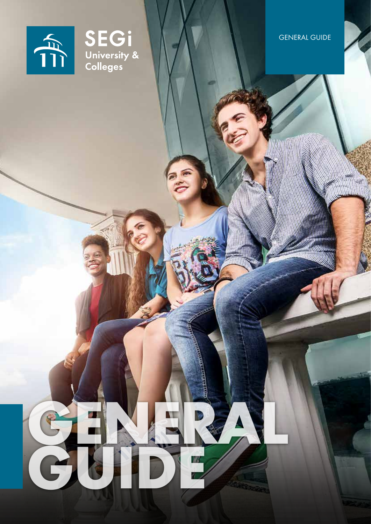



# SEGI<br>University &<br>Colleges

**GENERAL** 

**GUIDE**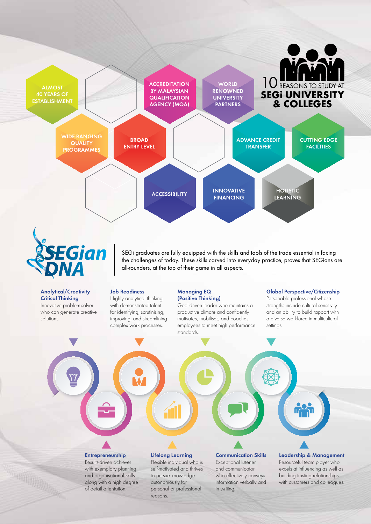

SEGi graduates are fully equipped with the skills and tools of the trade essential in facing the challenges of today. These skills carved into everyday practice, proves that SEGians are all-rounders, at the top of their game in all aspects.

# Analytical/Creativity Critical Thinking

*DNA*

Innovative problem-solver who can generate creative solutions.

*SEGian*

# Job Readiness

Highly analytical thinking with demonstrated talent for identifying, scrutinising, improving, and streamlining complex work processes.

# Managing EQ (Positive Thinking)

Goal-driven leader who maintains a productive climate and confidently motivates, mobilises, and coaches employees to meet high performance standards.

# Global Perspective/Citizenship

Personable professional whose strengths include cultural sensitivity and an ability to build rapport with a diverse workforce in multicultural settings.

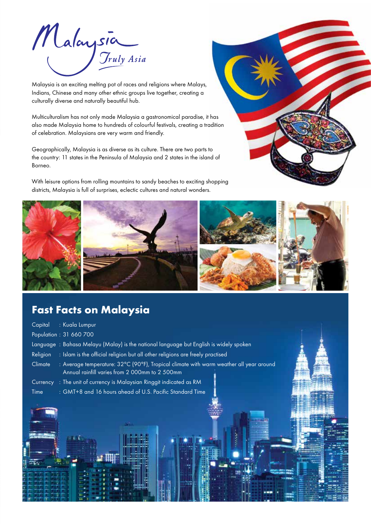

Malaysia is an exciting melting pot of races and religions where Malays, Indians, Chinese and many other ethnic groups live together, creating a culturally diverse and naturally beautiful hub.

Multiculturalism has not only made Malaysia a gastronomical paradise, it has also made Malaysia home to hundreds of colourful festivals, creating a tradition of celebration. Malaysians are very warm and friendly.

Geographically, Malaysia is as diverse as its culture. There are two parts to the country: 11 states in the Peninsula of Malaysia and 2 states in the island of Borneo.

With leisure options from rolling mountains to sandy beaches to exciting shopping districts, Malaysia is full of surprises, eclectic cultures and natural wonders.





# **Fast Facts on Malaysia**

| : Kuala Lumpur<br>Capital                                                                                                                           |  |
|-----------------------------------------------------------------------------------------------------------------------------------------------------|--|
| Population: 31 660 700                                                                                                                              |  |
| Language: Bahasa Melayu (Malay) is the national language but English is widely spoken                                                               |  |
| : Islam is the official religion but all other religions are freely practised<br>Religion                                                           |  |
| : Average temperature: 32°C (90°F), Tropical climate with warm weather all year around<br>Climate<br>Annual rainfill varies from 2 000mm to 2 500mm |  |
| Currency : The unit of currency is Malaysian Ringgit indicated as RM                                                                                |  |
| : GMT+8 and 16 hours ahead of U.S. Pacific Standard Time<br>Time                                                                                    |  |
|                                                                                                                                                     |  |
|                                                                                                                                                     |  |
|                                                                                                                                                     |  |
|                                                                                                                                                     |  |
|                                                                                                                                                     |  |
|                                                                                                                                                     |  |
|                                                                                                                                                     |  |
|                                                                                                                                                     |  |
|                                                                                                                                                     |  |
|                                                                                                                                                     |  |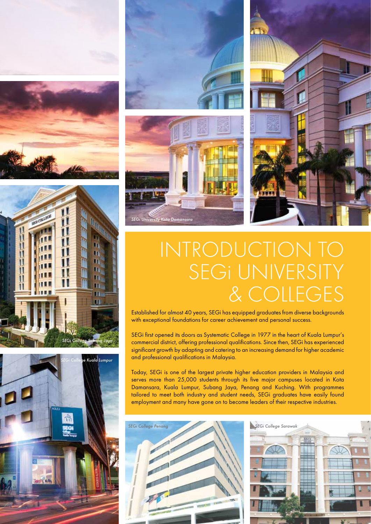













# INTRODUCTION TO SEGI UNIVERSITY & Colleges

Established for almost 40 years, SEGi has equipped graduates from diverse backgrounds with exceptional foundations for career achievement and personal success.

SEGi first opened its doors as Systematic College in 1977 in the heart of Kuala Lumpur's commercial district, offering professional qualifications. Since then, SEGi has experienced significant growth by adapting and catering to an increasing demand for higher academic and professional qualifications in Malaysia.

Today, SEGi is one of the largest private higher education providers in Malaysia and serves more than 25,000 students through its five major campuses located in Kota Damansara, Kuala Lumpur, Subang Jaya, Penang and Kuching. With programmes tailored to meet both industry and student needs, SEGi graduates have easily found employment and many have gone on to become leaders of their respective industries.



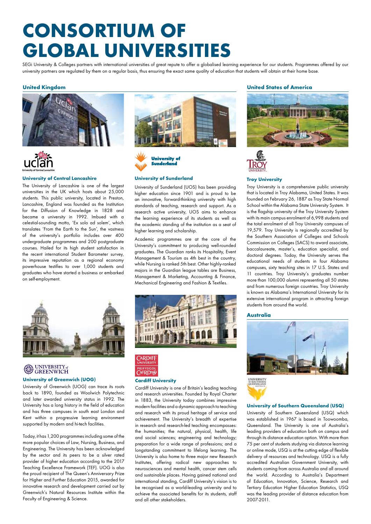# **consortium of global Universities**

SEGi University & Colleges partners with international universities of great repute to offer a globalised learning experience for our students. Programmes offered by our university partners are regulated by them on a regular basis, thus ensuring the exact same quality of education that students will obtain at their home base.

# **United Kingdom**





# **University of Central Lancashire**

The University of Lancashire is one of the largest universities in the UK which hosts about 25,000 students. This public university, located in Preston, Lancashire, England was founded as the Institution for the Diffusion of Knowledge in 1828 and became a university in 1992. Imbued with a celestial-sounding motto, 'Ex solo ad solem', which translates 'From the Earth to the Sun', the vastness of the university's portfolio includes over 400 undergraduate programmes and 200 postgraduate courses. Hailed for its high student satisfaction in the recent international Student Barometer survey, its impressive reputation as a regional economy powerhouse testifies to over 1,000 students and graduates who have started a business or embarked on self-employment.





# **University of Sunderland**

University of Sunderland (UOS) has been providing higher education since 1901 and is proud to be an innovative, forward-thinking university with high standards of teaching, research and support. As a research active university, UOS aims to enhance the learning experience of its students as well as the academic standing of the institution as a seat of higher learning and scholarship.

Academic programmes are at the core of the University's commitment to producing well-rounded graduates. The Guardian ranks its Hospitality, Event Management & Tourism as 4th best in the country, while Nursing is ranked 5th best. Other highly-ranked majors in the Guardian league tables are Business, Management & Marketing, Accounting & Finance, Mechanical Engineering and Fashion & Textiles.



# **SA UNIVERSITY**<sub>of</sub>

# **University of Greenwich (UOG)**

University of Greenwich (UOG) can trace its roots back to 1890, founded as Woolwich Polytechnic and later awarded university status in 1992. The University has a long history in the field of education and has three campuses in south east London and Kent within a progressive learning environment supported by modern and hi-tech facilities.

Today, it has 1,200 programmes including some of the more popular choices of Law, Nursing, Business, and Engineering. The University has been acknowledged by the sector and its peers to be a silver rated provider of higher education according to the 2017 Teaching Excellence Framework (TEF). UOG is also the proud recipient of The Queen's Anniversary Prize for Higher and Further Education 2015, awarded for innovative research and development carried out by Greenwich's Natural Resources Institute within the Faculty of Engineering & Science.





# **Cardiff University**

Cardiff University is one of Britain's leading teaching and research universities. Founded by Royal Charter in 1883, the University today combines impressive modern facilities and a dynamic approach to teaching and research with its proud heritage of service and achievement. The University's breadth of expertise in research and research-led teaching encompasses: the humanities; the natural, physical, health, life and social sciences; engineering and technology; preparation for a wide range of professions; and a longstanding commitment to lifelong learning. The University is also home to three major new Research Institutes, offering radical new approaches to neurosciences and mental health, cancer stem cells and sustainable places. Having gained national and international standing, Cardiff University's vision is to be recognised as a world-leading university and to achieve the associated benefits for its students, staff and all other stakeholders.

# **United States of America**





# **Troy University**

Troy University is a comprehensive public university that is located in Troy Alabama, United States. It was founded on February 26, 1887 as Troy State Normal School within the Alabama State University System. It is the flagship university of the Troy University System with its main campus enrolment of 6,998 students and the total enrolment of all Troy University campuses of 19,579. Troy University is regionally accredited by the Southern Association of Colleges and Schools Commission on Colleges (SACS) to award associate, baccalaureate, master's, education specialist, and doctoral degrees. Today, the University serves the educational needs of students in four Alabama campuses, sixty teaching sites in 17 U.S. States and 11 countries. Troy University's graduates number more than 100,000 alumni representing all 50 states and from numerous foreign countries. Troy University is known as Alabama's International University for its extensive international program in attracting foreign students from around the world.

# **Australia**



# **University of Southern Queensland (USQ)**

University of Southern Queensland (USQ) which was established in 1967 is based in Toowoomba, Queensland. The University is one of Australia's leading providers of education both on campus and through its distance education option. With more than 75 per cent of students studying via distance learning or online mode, USQ is at the cutting edge of flexible delivery of resources and technology. USQ is a fully accredited Australian Government University, with students coming from across Australia and all around the world. According to Australia's Department of Education, Innovation, Science, Research and Tertiary Education Higher Education Statistics, USQ was the leading provider of distance education from 2007-2011.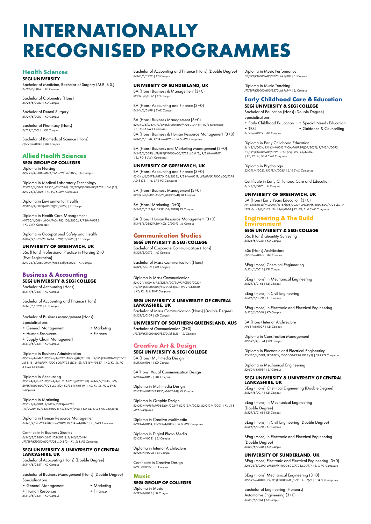# **Internationally Recognised Programmes**

# **Health Sciences**

**SEGi UNIVERSITY**

Bachelor of Medicine, Bachelor of Surgery (M.B.,B.S.) *R/721/6/0064 | KD Campus*

Bachelor of Optometry (Hons) *R/726/6/0063 | KD Campus*

Bachelor of Dental Surgery *R/724/6/0003 | KD Campus*

Bachelor of Pharmacy (Hons) *R/727/6/0014 | KD Campus*

Bachelor of Biomedical Science (Hons) *N/721/6/0048 | KD Campus*

# **Allied Health Sciences SEGi GROUP OF COLLEGES**

Diploma in Nursing *R2/723/4/0007(MQA/FA5279)(06/2022)| KL Campus*

Diploma in Medical Laboratory Technology *R2/725/4/0049(A8535)(03/2024); JPT/BPP(K)1000-600/P728 JLD.6 (21); R2/725/4/0028 | KL, PG & SWK Campuses*

Diploma in Environmental Health *R2/853/4/0019(A8563)(03/2024)| KL Campus*

Diploma in Health Care Management *N/720/4/0084(MQA/FA04982)(06/2020); R/720/4/0095 | KL, SWK Campuses*

Diploma in Occupational Safety and Health *R/862/4/0025(MQA/FA1779)(06/2023)| KL Campus*

**UNIVERSITY OF GREENWICH, UK**

BSc (Hons) Professional Practice in Nursing 2+0 (Post Registration) *R2/723/6/0069(MQA/FA8833)(062023)| KL Campus*

# **Business & Accounting**

**SEGi UNIVERSITY & SEGi COLLEGE** Bachelor of Accounting (Hons) *R/344/6/0387 | KD Campus*

Bachelor of Accounting and Finance (Hons) *R/343/6/0222 | KD Campus*

Bachelor of Business Management (Hons) Specialisations:

• General Management • Marketing

• Human Resources • Finance

• Supply Chain Management

*R/340/6/0334 | KD Campus*

Diploma in Business Administration

*R2/345/4/0417; R2/345/4/0225(A8729)(02/2023); JPT/BPP(K)1000-600/B270 Jld.8(18); JPT/BPP(K)1000-600/P728 JLD.8 (2); R/345/4/0637 | KD, KL, SJ, PG & SWK Campuses*

Diploma in Accounting *R2/344/4/0187; R2/344/4/0118(A8730)(02/2023); R/344/4/0336; JPT/ BPP(K)1000-600/P728 JLD.8(2); R2/344/4/0149 | KD, KL, SJ, PG & SWK Campuses*

Diploma in Marketing *R2/342/4/0081, R/342/4/0119(A1622) (11/2020); R2/342/4/0026; R2/342/4/0115 | KD, KL, SJ & SWK Campuses*

Diploma in Human Resource Management *R/345/4/0659(A4382)(06/2019); R2/345/4/0026 |KL, SWK Campuses*

Certificate in Business Studies *R/340/3/0580(A6643)(08/2021); R/340/3/0484; JPT/BPP(K)1000-600/P728 JLD.8 (2) |KL, SJ & PG Campuses*

# **SEGi UNIVERSITY & UNIVERSITY OF CENTRAL LANCASHIRE, UK**

Bachelor of Acocunting (Hons) (Double Degree) *R/344/6/0387 | KD Campus*

Bachelor of Business Management (Hons) (Double Degree) Specialisations:

- General Management Marketing
- Human Resources Finance
- *R/340/6/0334 | KD Campus*
- 

Bachelor of Accounting and Finance (Hons) (Double Degree) *R/343/6/0222 | KD Campus*

# **UNIVERSITY OF SUNDERLAND, UK** BA (Hons) Business & Management (3+0)

*R2/345/6/0137 | KD Campus* BA (Hons) Accounting and Finance (3+0)

*R/344/6/0499 | SWK Campus*

BA (Hons) Business Management (3+0) *R2/340/6/0767; JPT/BPP(K)1000-600/P728 JLD.7 (4); R2/345/6/0165 | SJ, PG & SWK Campuses* BA (Hons) Business & Human Resource Management (3+0) *R/345/6/0581; R/345/6/0952 | SJ & SWK Campuses*

BA (Hons) Business and Marketing Management (3+0) *R/342/6/0090; JPT/BPP(K)1000-600/P728 JLD.8 (2); R/340/6/0107 | SJ, PG & SWK Campuses*

# **UNIVERSITY OF GREENWICH, UK**

BA (Hons) Accounting and Finance (3+0) *R2/344/6/0479(A8170)(08/2022); R/344/6/0219; JPT/BPP(K)1000-600/P278 JLD.5 (35) | KL, SJ & PG Campuses*

BA (Hons) Business Management (3+0) *R2/345/6/0385(A9595)(03/2024)| KL Campus*

BA (Hons) Marketing (3+0) *R/342/6/0123(A10439)(08/2019)| KL Campus*

BA (Hons) Human Resource Management (3+0) *R/345/6/0662(A10440)(10/2019)| KL Campus*

# **Communication Studies SEGi UNIVERSITY & SEGi COLLEGE**

Bachelor of Corporate Communication (Hons) *R/321/6/0072 | KD Campus*

Bachelor of Mass Communication (Hons) *R/321/6/0109 | KD Campus*

Diploma in Mass Communication *R2/321/4/0044; R2/321/4/0071(A9370)(09/2023); JPT/BPP(K)1000-600/B270 Jld.5(54); R/321/4/0180 | KD, KL, SJ & SWK Campuses*

#### **SEGi UNIVERSITY & UNIVERSITY OF CENTRAL LANCASHIRE, UK**

Bachelor of Mass Communication (Hons) (Double Degree) *R/321/6/0109 | KD Campus*

# **UNIVERSITY OF SOUTHERN QUEENSLAND, AUS**

Bachelor of Communication (3+0) *JPT/BPP(K)1000-600/B270 Jld.3(21) | SJ Campus*

# **Creative Art & Design**

**SEGi UNIVERSITY & SEGi COLLEGE** BA (Hons) Multimedia Design *R/213/6/0061 | KD Campus* 

BA(Hons) Visual Communication Design *R/213/6/0060 | KD Campus*

Diploma in Multimedia Design *R2/213/4/0150(A9955)(04/2024)| KL Campus*

Diploma in Graphic Design *R2/213/4/0151(A9956)(04/2024); R2/213/4/0032; R2/213/4/0001 | KL, SJ & SWK Campuses*

Diploma in Creative Multimedia *R/213/4/0064; R2/213/4/0002 | SJ & SWK Campuses*

Diploma in Digital Photo Media *R2/213/4/0031 | SJ Campus*

Diploma in Interior Architecture *R2/214/4/0206 | SJ Campus*

Certificate in Creative Design *R/211/3/0017 | SJ Campus*

#### **Music SEGi GROUP OF COLLEGES** Diploma in Music *R/212/4/0025 | SJ Campus*

Diploma in Music Performance *JPT/BPP(K)1000-600/B270 Jld.7(38) | SJ Campus*

Diploma in Music Teaching *JPT/BPP(K)1000-600/B270 Jld.7(54) | SJ Campus*

# **Early Childhood Care & Education SEGi UNIVERSITY & SEGi COLLEGE**

Bachelor of Education (Hons) (Double Degree) Specialisations:

• Early Childhood Education • Special Needs Education • TESL • Guidance & Counselling *R/141/6/0059 | KD Campus*

# Diploma in Early Childhood Education

*R/143/4/0034; R/143/4/0013(MQA/FA0729)(07/2021); R/143/4/0092; JPT/BPP(K)1000-600/P728 JLD.6 (19); R2/143/4/0043 | KD, KL, SJ, PG & SWK Campuses*

Diploma in Psychology *R2/311/4/0021; R/311/4/0085 | SJ & SWK Campuses*

Certificate in Early Childhood Care and Education *R/143/3/0075 | SJ Campus*

# **UNIVERSITY OF GREENWICH, UK**

BA (Hons) Early Years Education (3+0) *N/143/6/0148(MQA/PA/11187)(08/2023); JPT/BPP(K)1000-600/P728 JLD. 9 (22); R/143/6/0162; N/143/6/0104 | KL, PG, SJ & SWK Campuses*

# **Engineering & The Build Environment**

**SEGi UNIVERSITY & SEGi COLLEGE**

BSc (Hons) Quantity Surveying *R/526/6/0028 | KD Campus* 

BSc (Hons) Architecture *N/581/6/0092 | KD Campus* 

BEng (Hons) Chemical Engineering *R/524/6/0011 | KD Campus* 

BEng (Hons) in Mechanical Engineering *R/521/6/0146 | KD Campus* 

BEng (Hons) in Civil Engineering *R/526/6/0070 | KD Campus*

BEng (Hons) in Electronic and Electrical Engineering *R/523/6/0060 | KD Campus*

BA (Hons) Interior Architecture *N/581/6/0027 | KD Campus* 

Diploma in Construction Management *R2/526/4/0124 | KD Campus* 

Diploma in Electronic and Electrical Engineering *R2/520/4/0091; JPT/BPP(K)1000-600/P728 JLD.8 (2) | SJ & PG Campuses*

Diploma in Mechanical Engineering *R2/521/4/0014 | SJ Campus*

#### **SEGi UNIVERSITY & UNIVERSITY OF CENTRAL LANCASHIRE, UK**

BEng (Hons) Chemical Engineering (Double Degree) *R/524/6/0011 | KD Campus* 

BEng (Hons) in Mechanical Engineering (Double Degree) *R/521/6/0146 | KD Campus* 

BEng (Hons) in Civil Engineering (Double Degree) *R/526/6/0070 | KD Campus*

BEng (Hons) in Electronic and Electrical Engineering (Double Degree) *R/523/6/0060 | KD Campus*

## **UNIVERSITY OF SUNDERLAND, UK**

BEng (Hons) Electronic and Electrical Engineering (3+0) *R2/523/6/0290; JPT/BPP(K)1000-600/P728JLD.7(7) | SJ & PG Campuses*

BEng (Hons) Mechanical Engineering (3+0) *R2/521/6/0013; JPT/BPP(K)1000-600/P728 JLD.7(7) | SJ & PG Campuses*

Bachelor of Engineering (Honours) Automotive Engineering (3+0) *R/523/6/0114 | SJ Campus*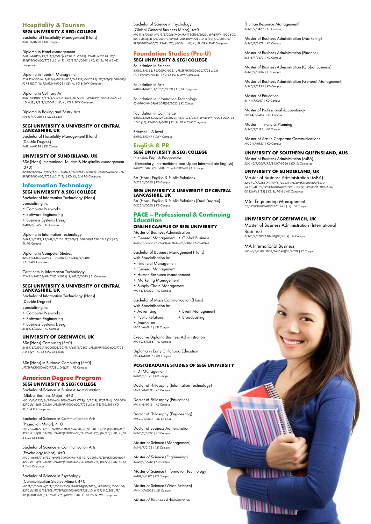# **Hospitality & Tourism**

**SEGi UNIVERSITY & SEGi COLLEGE** Bachelor of Hospitality Management (Hons) *R/811/6/0238 | KD Campus*

Diploma in Hotel Management *R/811/4/0126; R2/811/4/0011(A7528 (01/2022); R2/811/4/0028; JPT/ BPP(K)1000-600/P728 JLD. 6 (13); R2/811/4/0005 | KD, KL, SJ, PG & SWK Campuses*

Diploma in Tourism Management *R2/812/4/0046; R/812/4/0052(MQA/FA1457)(04/2023); JPT/BPP(K)1000-600/ P278 JLD.7 (4); R2/812/4/0003 | KD, KL, PG & SWK Campuses*

Diploma in Culinary Art *R/811/4/0101; R/811/4/0278(A11534)(01/2021); JPT/BPP(K)1000-600/P728 JLD. 6 (8); R/811/4/0041 | KD, KL, PG & SWK Campuses*

Diploma in Baking and Pastry Arts *N/811/4/0066 | SWK Campus* 

#### **SEGi UNIVERSITY & UNIVERSITY OF CENTRAL LANCASHIRE, UK**

Bachelor of Hospitality Management (Hons) (Double Degree) *R/811/6/0238 | KD Campus*

# **UNIVERSITY OF SUNDERLAND, UK**

BSc (Hons) International Tourism & Hospitality Management  $(3+0)$ *R2/812/6/0162; R/812/6/0015(MQA/FA0526)(06/2021); R2/812/6/0172; JPT/ BPP(K)1000-600/P728 JLD. 7 (7) | KD, KL, SJ & PG Campuses*

**Information Technology** 

# **SEGi UNIVERSITY & SEGi COLLEGE**

Bachelor of Information Technology (Hons) Specialising in:

- Computer Networks
- Software Engineering
- Business Systems Design
- *R/481/6/0522 | KD Campus*

Diploma in Information Technology *R/481/4/0372; R2/481/4/0101; JPT/BPP(K)1000-600/P728 JLD.8 (2) | KD, SJ, PG Campus*

Diploma in Computer Studies *R2/481/4/0309(A9341 (09/2023); R2/481/4/0408 | KL, SWK Campuses*

Certificate in Information Technology *R2/481/3/0308(A9473)(01/2024); R/481/3/0680 | SJ Campuses*

## **SEGi UNIVERSITY & UNIVERSITY OF CENTRAL LANCASHIRE, UK**

Bachelor of Information Technology (Hons) (Double Degree) Specialising in:

- Computer Networks
- Software Engineering
- Business Systems Design
- *R/481/6/0522 | KD Campus*

# **UNIVERSITY OF GREENWICH, UK**

BSc (Hons) Computing (3+0) *R/481/6/0500(A10000)(05/2019); R/481/6/0803; JPT/BPP(K)1000-600/P728 JLD.8 (2) | KL, SJ & PG Campuses*

BSc (Hons) in Business Computing (3+0) *JPT/BPP(K)1000-600/P728 JLD.6(27) | PG Campus*

# **American Degree Program**

**SEGi UNIVERSITY & SEGi COLLEGE** Bachelor of Science in Business Administration

(Global Business Major), 4+0 *N/340/6/0555; N/340/6/0480(MQA/FA4729)(10/2019); JPT/BPP(K)1000-600/ B270 Jld.12(8) (03/20); JPT/BPP(K)1000-600/P728 JLD.6 (38) (10/20) | KD, KL, SJ & PG Campuses*

## Bachelor of Science in Communication Arts

(Promotion Minor), 4+0 *N/321/6/0177; N/321/6/0159(MQA/FA4731)(01/2020); JPT/BPP(K)1000-600/ B270 Jld.12(9) (03/20); JPT/BPP(K)1000-600/Q1326Jld.7(8) (04/20) | KD, KL, SJ & SWK Campuses*

# Bachelor of Science in Communication Arts

(Psychology Minor), 4+0 *N/321/6/0177; N/321/6/0159(MQA/FA4731)(01/2020); JPT/BPP(K)1000-600/ B270 Jld.12(9) (03/20); JPT/BPP(K)1000-600/Q1326Jld.7(8) (04/20) | KD, KL, SJ & SWK Campuses*

# Bachelor of Science in Psychology

(Communication Studies Minor), 4+0 *N/311/6/0060; N/311/6/0056(MQA/PA4730)(01/2020); JPT/BPP(K)1000-600/ B270 Jld.8(14) (03/20); JPT/BPP(K)1000-600/P728 JLD. 6 (39) (10/20); JPT/ BPP(K)1000-600/Q1326Jld.7(6) (4/20) | KD, KL, SJ, PG & SWK Campuses*

Bachelor of Science in Psychology (Global General Business Minor), 4+0 *N/311/6/0060; N/311/6/0056(MQA/PA4730)(01/2020); JPT/BPP(K)1000-600/ B270 Jld.8(14) (03/20); JPT/BPP(K)1000-600/P728 JLD. 6 (39) (10/20); JPT/ BPP(K)1000-600/Q1326Jld.7(6) (4/20) | KD, KL, SJ, PG & SWK Campuses*

## **Foundation Studies (Pre-U) SEGi UNIVERSITY & SEGi COLLEGE**

Foundation in Science *R/010/3/0356; R2/000/3/0021; JPT/BPP(K)1000-600/P728 JLD.6 (17); R/010/3/0345 | KD, SJ, PG & SWK Campuses*

Foundation in Arts *R/010/4/0406; R/010/3/0020 | KD, SJ Campuses*

Foundation in Information Technology *R2/010/3/0469(A8609)(02/2023)| KL Campus*

Foundation in Commerce *R/010/3/0258(A5212)(02/2020); R2/010/3/0434; JPT/BPP(K)1000-600/P728 JLD.6 (15); R2/010/3/0418 | KL, SJ, PG & SWK Campuses*

Edexcel – A level *R/010/3/0347 | SWK Campus*

# **English & PR**

# **SEGi UNIVERSITY & SEGi COLLEGE**

Intensive English Programme (Elementary, Intermetidate and Upper-Intermediate English) *R/KJP/00901, R/KJP/00902, R/KJP/00903 | KD Campus*

BA (Hons) English & Public Relations *R/222/6/0020 | KD Campus*

#### **SEGi UNIVERSITY & UNIVERSITY OF CENTRAL LANCASHIRE, UK**

BA (Hons) English & Public Relations (Dual Degree) *R/222/6/0020 | KD Campus*

# **PACE – Professional & Continuing Education**

#### **ONLINE CAMPUS OF SEGi UNIVERSITY** Master of Business Administration

• General Management • Global Business *R/340/7/0270 | KD Campus, N/340/7/0383 | KD Campus*

Bachelor of Business Management (Hons)

- with Specialisation in:
- Financial Management
- General Management
- Human Resource Management
- Marketing Management
- Supply Chain Management *N/345/6/0522 | KD Campus*
- 

#### Bachelor of Mass Communication (Hons) with Specialisation in:

- Advertising Event Management
- Public Relations Broadcasting
- Journalism
- *N/321/6/0111 | KD Campus*

Executive Diploma Business Administration *N/340/4/0385 | KD Campus*

Diploma in Early Childhood Education *N/143/4/0077 | KD Campus*

# **POSTGRADUATE STUDIES OF SEGi UNIVERSITY**

PhD (Management) *R/345/8/0121 | KD Campus*

Doctor of Philosophy (Information Technology) *N/481/8/0311 | KD Campus*

Doctor of Philosophy (Education) *N/141/8/0016 | KD Campus*

Doctor of Philosophy (Engineering) *N/520/8/0037 | KD Campus*

Doctor of Business Administration *R/340/8/0627 | KD Campus*

Master of Science (Management) *R/345/7/0122 | KD Campus*

Master of Science (Engineering) *R/520/7/0042 | KD Campus*

Master of Science (Information Technology) *R/481/7/0312 | KD Campus*

Master of Science (Vision Science) *N/441/7/0002 | KD Campus*

Master of Business Administration

(Human Resource Management) *R/345/7/0479 | KD Campus*

Master of Business Administration (Marketing) *R/345/7/0478 | KD Campus*

Master of Business Administration (Finance) *R/345/7/0473 | KD Campus*

Master of Business Administration (Global Business) *R/340/7/0336 | KD Campus*

Master of Business Administration (General Management) *R/340/7/0335 | KD Campus*

Master of Education *R/141/7/0017 | KD Campus*

Master of Professional Accountancy *N/344/7/0454 | KD Campus*

Master in Financial Planning *R/343/7/0195 | KD Campus*

Master of Arts in Corporate Communications *N/321/7/0153* | KD Camp

# **UNIVERSITY OF SOUTHERN QUEENSLAND, AUS**

Master of Business Administration (MBA) *R2/340/7/0057; R2/345/7/0266 | KD, SJ Campuses*

# **UNIVERSITY OF SUNDERLAND, UK**

Master of Business Administration (MBA) *R2/340/7/0268(A9419)(11/2023); JPT/BPP(K)1000-600/B270 Jld.13(24); JPT/BPP(K)1000-600/P728 JLD.8 (2); JPT/BPP(K)1000-600/ Q1326Jld.8(55) | KL, SJ, PG & SWK Campuses*

MSc Engineering Management *JPT/BPP(K)1000-600/B270 Jld.7 (13) | SJ Campus*

## **UNIVERSITY OF GREENWICH, UK**

Master of Business Administration (International Business) *R/345/7/0700(A10438)(08/2019)| KL Campus*

MA International Business

William

## *N/340/7/0582(MQA/PA5690)(08/2020)| KL Campus*